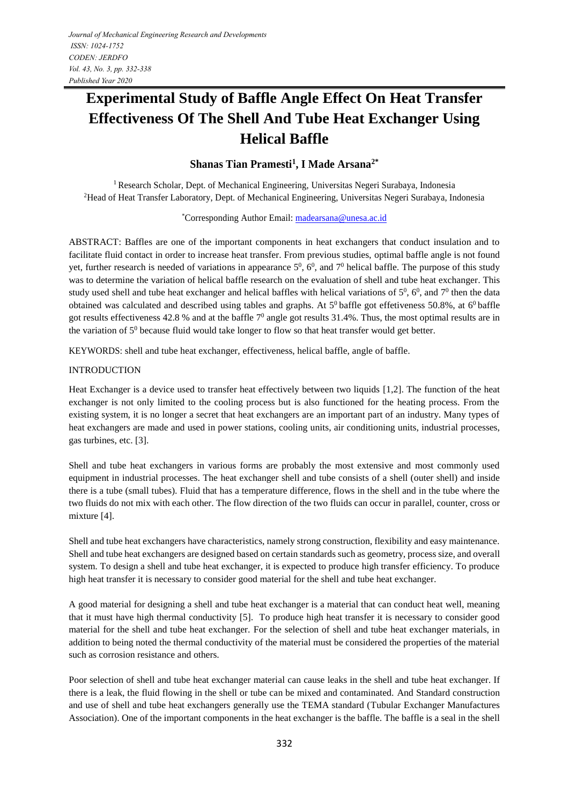# **Experimental Study of Baffle Angle Effect On Heat Transfer Effectiveness Of The Shell And Tube Heat Exchanger Using Helical Baffle**

# **Shanas Tian Pramesti<sup>1</sup> , I Made Arsana2\***

<sup>1</sup>Research Scholar, Dept. of Mechanical Engineering, Universitas Negeri Surabaya, Indonesia <sup>2</sup>Head of Heat Transfer Laboratory, Dept. of Mechanical Engineering, Universitas Negeri Surabaya, Indonesia

# \*Corresponding Author Email: [madearsana@unesa.ac.id](mailto:madearsana@unesa.ac.id)

ABSTRACT: Baffles are one of the important components in heat exchangers that conduct insulation and to facilitate fluid contact in order to increase heat transfer. From previous studies, optimal baffle angle is not found yet, further research is needed of variations in appearance  $5^0$ ,  $6^0$ , and  $7^0$  helical baffle. The purpose of this study was to determine the variation of helical baffle research on the evaluation of shell and tube heat exchanger. This study used shell and tube heat exchanger and helical baffles with helical variations of  $5^0$ ,  $6^0$ , and  $7^0$  then the data obtained was calculated and described using tables and graphs. At  $5^0$  baffle got effetiveness 50.8%, at  $6^0$  baffle got results effectiveness 42.8 % and at the baffle  $7^0$  angle got results 31.4%. Thus, the most optimal results are in the variation of  $5^0$  because fluid would take longer to flow so that heat transfer would get better.

KEYWORDS: shell and tube heat exchanger, effectiveness, helical baffle, angle of baffle.

# INTRODUCTION

Heat Exchanger is a device used to transfer heat effectively between two liquids [1,2]. The function of the heat exchanger is not only limited to the cooling process but is also functioned for the heating process. From the existing system, it is no longer a secret that heat exchangers are an important part of an industry. Many types of heat exchangers are made and used in power stations, cooling units, air conditioning units, industrial processes, gas turbines, etc. [3].

Shell and tube heat exchangers in various forms are probably the most extensive and most commonly used equipment in industrial processes. The heat exchanger shell and tube consists of a shell (outer shell) and inside there is a tube (small tubes). Fluid that has a temperature difference, flows in the shell and in the tube where the two fluids do not mix with each other. The flow direction of the two fluids can occur in parallel, counter, cross or mixture [4].

Shell and tube heat exchangers have characteristics, namely strong construction, flexibility and easy maintenance. Shell and tube heat exchangers are designed based on certain standards such as geometry, process size, and overall system. To design a shell and tube heat exchanger, it is expected to produce high transfer efficiency. To produce high heat transfer it is necessary to consider good material for the shell and tube heat exchanger.

A good material for designing a shell and tube heat exchanger is a material that can conduct heat well, meaning that it must have high thermal conductivity [5]. To produce high heat transfer it is necessary to consider good material for the shell and tube heat exchanger. For the selection of shell and tube heat exchanger materials, in addition to being noted the thermal conductivity of the material must be considered the properties of the material such as corrosion resistance and others.

Poor selection of shell and tube heat exchanger material can cause leaks in the shell and tube heat exchanger. If there is a leak, the fluid flowing in the shell or tube can be mixed and contaminated. And Standard construction and use of shell and tube heat exchangers generally use the TEMA standard (Tubular Exchanger Manufactures Association). One of the important components in the heat exchanger is the baffle. The baffle is a seal in the shell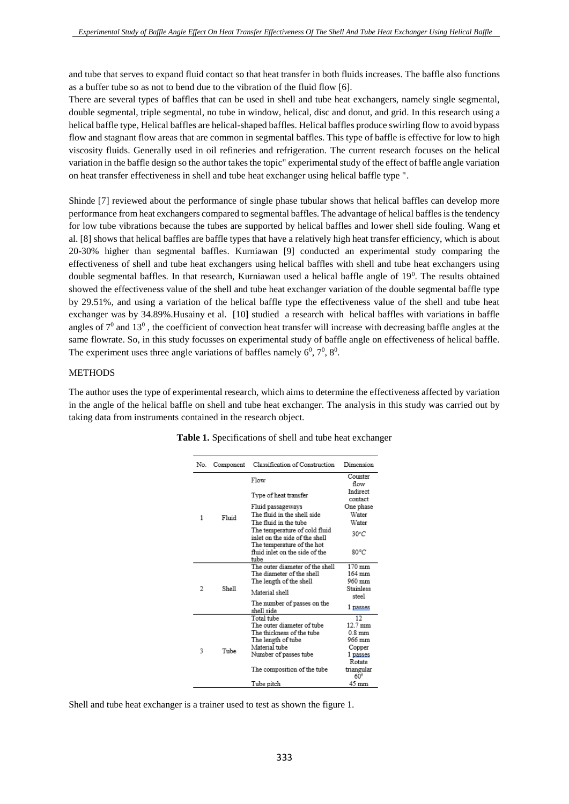and tube that serves to expand fluid contact so that heat transfer in both fluids increases. The baffle also functions as a buffer tube so as not to bend due to the vibration of the fluid flow [6].

There are several types of baffles that can be used in shell and tube heat exchangers, namely single segmental, double segmental, triple segmental, no tube in window, helical, disc and donut, and grid. In this research using a helical baffle type, Helical baffles are helical-shaped baffles. Helical baffles produce swirling flow to avoid bypass flow and stagnant flow areas that are common in segmental baffles. This type of baffle is effective for low to high viscosity fluids. Generally used in oil refineries and refrigeration. The current research focuses on the helical variation in the baffle design so the author takes the topic" experimental study of the effect of baffle angle variation on heat transfer effectiveness in shell and tube heat exchanger using helical baffle type ".

Shinde [7] reviewed about the performance of single phase tubular shows that helical baffles can develop more performance from heat exchangers compared to segmental baffles. The advantage of helical baffles is the tendency for low tube vibrations because the tubes are supported by helical baffles and lower shell side fouling. Wang et al. [8] shows that helical baffles are baffle types that have a relatively high heat transfer efficiency, which is about 20-30% higher than segmental baffles. Kurniawan [9] conducted an experimental study comparing the effectiveness of shell and tube heat exchangers using helical baffles with shell and tube heat exchangers using double segmental baffles. In that research, Kurniawan used a helical baffle angle of 19<sup>0</sup>. The results obtained showed the effectiveness value of the shell and tube heat exchanger variation of the double segmental baffle type by 29.51%, and using a variation of the helical baffle type the effectiveness value of the shell and tube heat exchanger was by 34.89%.Husainy et al. [10**]** studied a research with helical baffles with variations in baffle angles of  $7^0$  and  $13^0$ , the coefficient of convection heat transfer will increase with decreasing baffle angles at the same flowrate. So, in this study focusses on experimental study of baffle angle on effectiveness of helical baffle. The experiment uses three angle variations of baffles namely  $6^0$ ,  $7^0$ ,  $8^0$ .

## **METHODS**

The author uses the type of experimental research, which aims to determine the effectiveness affected by variation in the angle of the helical baffle on shell and tube heat exchanger. The analysis in this study was carried out by taking data from instruments contained in the research object.

| No. | Component | Classification of Construction                                       | Dimension                     |
|-----|-----------|----------------------------------------------------------------------|-------------------------------|
|     | Fluid     | Flow                                                                 | Counter<br>flow               |
|     |           | Type of heat transfer                                                | Indirect<br>contact           |
|     |           | Fluid passageways                                                    | One phase                     |
| 1   |           | The fluid in the shell side                                          | Water                         |
|     |           | The fluid in the tube                                                | Water                         |
|     |           | The temperature of cold fluid<br>inlet on the side of the shell      | $30^{\circ}$ C                |
|     |           | The temperature of the hot<br>fluid inlet on the side of the<br>tube | $80^{\circ}$ C                |
|     | Shell     | The outer diameter of the shell.                                     | $170 \text{ mm}$              |
| 2   |           | The diameter of the shell                                            | 164 mm                        |
|     |           | The length of the shell                                              | 960 mm                        |
|     |           | Material shell                                                       | Stainless<br>steel            |
|     |           | The number of passes on the<br>shell side                            | 1 passes                      |
| 3   | Tube      | Total tube                                                           | 12                            |
|     |           | The outer diameter of tube                                           | $12.7 \text{ mm}$             |
|     |           | The thickness of the tube                                            | $0.8$ mm                      |
|     |           | The length of tube                                                   | 966 mm                        |
|     |           | Material tube                                                        | Copper                        |
|     |           | Number of passes tube                                                | 1 passes<br>Rotate            |
|     |           | The composition of the tube                                          | triangular<br>60 <sup>n</sup> |
|     |           | Tube pitch                                                           | 45 mm                         |

**Table 1.** Specifications of shell and tube heat exchanger

Shell and tube heat exchanger is a trainer used to test as shown the figure 1.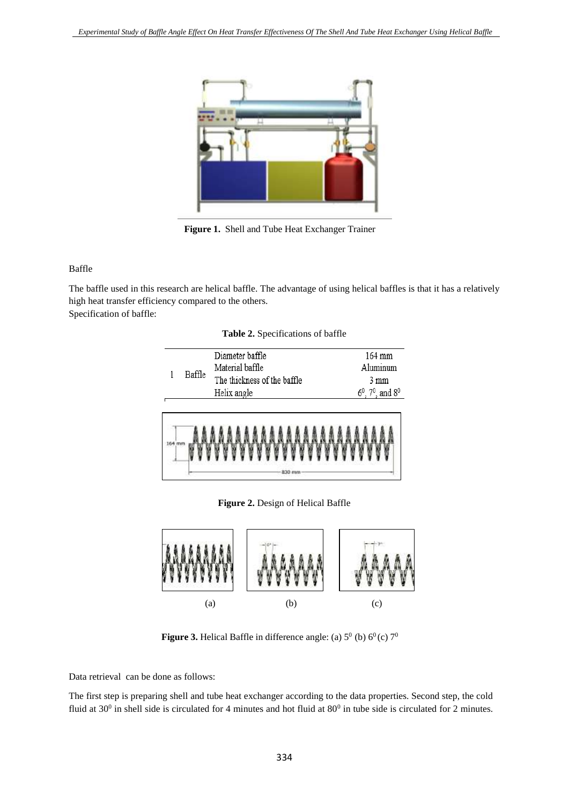

**Figure 1.** Shell and Tube Heat Exchanger Trainer

# Baffle

The baffle used in this research are helical baffle. The advantage of using helical baffles is that it has a relatively high heat transfer efficiency compared to the others. Specification of baffle:

**Table 2.** Specifications of baffle

|        | Diameter baffle             | 164 mm                    |
|--------|-----------------------------|---------------------------|
| Baffle | Material baffle             | Aluminum                  |
|        | The thickness of the baffle | 3 mm                      |
|        | Helix angle                 | $6^0$ , $7^0$ , and $8^0$ |
|        |                             |                           |
|        |                             |                           |
|        |                             |                           |
|        |                             |                           |

**Figure 2.** Design of Helical Baffle

830 mm



**Figure 3.** Helical Baffle in difference angle: (a)  $5^0$  (b)  $6^0$  (c)  $7^0$ 

Data retrieval can be done as follows:

The first step is preparing shell and tube heat exchanger according to the data properties. Second step, the cold fluid at  $30^0$  in shell side is circulated for 4 minutes and hot fluid at  $80^0$  in tube side is circulated for 2 minutes.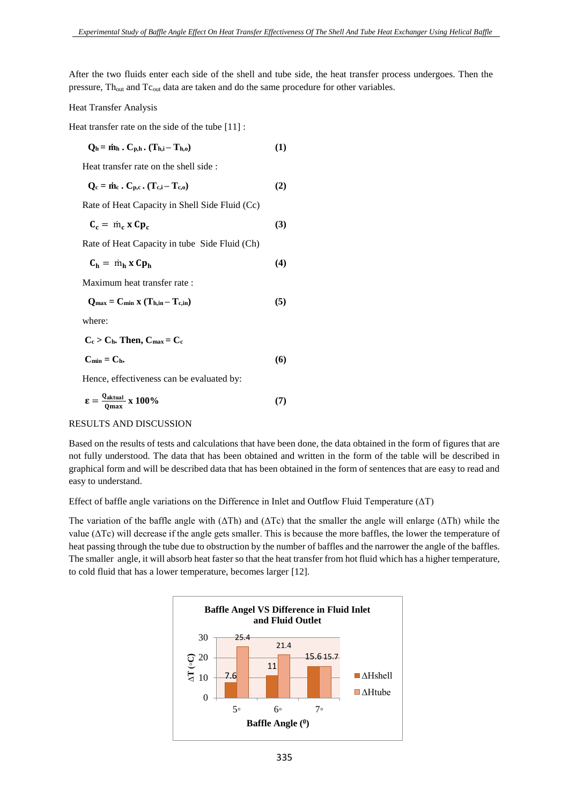After the two fluids enter each side of the shell and tube side, the heat transfer process undergoes. Then the pressure, Th<sub>out</sub> and Tc<sub>out</sub> data are taken and do the same procedure for other variables.

Heat Transfer Analysis

Heat transfer rate on the side of the tube [11] :

 $Q_h = \dot{m}_h \cdot C_{p,h} \cdot (T_{h,i} - T_{h,0})$  (1)

Heat transfer rate on the shell side :

$$
Q_c = \dot{m}_c \cdot C_{p,c} \cdot (T_{c,i} - T_{c,0})
$$
 (2)

Rate of Heat Capacity in Shell Side Fluid (Cc)

$$
C_c = \dot{m}_c \times Cp_c \tag{3}
$$

Rate of Heat Capacity in tube Side Fluid (Ch)

$$
C_h = \dot{m}_h \times C p_h \tag{4}
$$

Maximum heat transfer rate :

$$
Q_{\text{max}} = C_{\text{min}} x (T_{h,in} - T_{c,in})
$$
 (5)

where:

$$
C_c > C_h. Then, C_{max} = C_c
$$
  
\n
$$
C_{min} = C_h.
$$
 (6)

Hence, effectiveness can be evaluated by:

$$
\varepsilon = \frac{Q_{\text{aktual}}}{Q_{\text{max}}} \times 100\%
$$
 (7)

#### RESULTS AND DISCUSSION

Based on the results of tests and calculations that have been done, the data obtained in the form of figures that are not fully understood. The data that has been obtained and written in the form of the table will be described in graphical form and will be described data that has been obtained in the form of sentences that are easy to read and easy to understand.

Effect of baffle angle variations on the Difference in Inlet and Outflow Fluid Temperature (ΔT)

The variation of the baffle angle with ( $\Delta$ Th) and ( $\Delta$ Tc) that the smaller the angle will enlarge ( $\Delta$ Th) while the value (ΔTc) will decrease if the angle gets smaller. This is because the more baffles, the lower the temperature of heat passing through the tube due to obstruction by the number of baffles and the narrower the angle of the baffles. The smaller angle, it will absorb heat faster so that the heat transfer from hot fluid which has a higher temperature, to cold fluid that has a lower temperature, becomes larger [12].

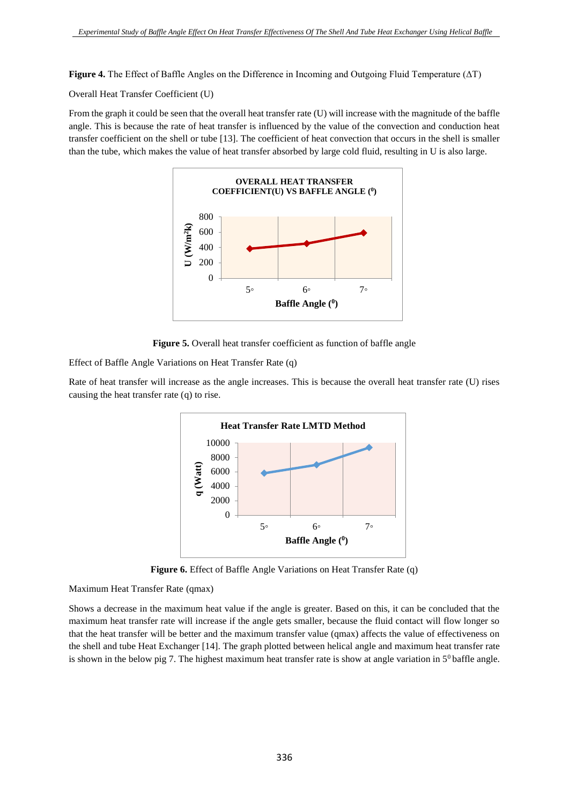**Figure 4.** The Effect of Baffle Angles on the Difference in Incoming and Outgoing Fluid Temperature (ΔT)

Overall Heat Transfer Coefficient (U)

From the graph it could be seen that the overall heat transfer rate (U) will increase with the magnitude of the baffle angle. This is because the rate of heat transfer is influenced by the value of the convection and conduction heat transfer coefficient on the shell or tube [13]. The coefficient of heat convection that occurs in the shell is smaller than the tube, which makes the value of heat transfer absorbed by large cold fluid, resulting in U is also large.



**Figure 5.** Overall heat transfer coefficient as function of baffle angle

Effect of Baffle Angle Variations on Heat Transfer Rate (q)

Rate of heat transfer will increase as the angle increases. This is because the overall heat transfer rate (U) rises causing the heat transfer rate (q) to rise.



**Figure 6.** Effect of Baffle Angle Variations on Heat Transfer Rate (q)

Maximum Heat Transfer Rate (qmax)

Shows a decrease in the maximum heat value if the angle is greater. Based on this, it can be concluded that the maximum heat transfer rate will increase if the angle gets smaller, because the fluid contact will flow longer so that the heat transfer will be better and the maximum transfer value (qmax) affects the value of effectiveness on the shell and tube Heat Exchanger [14]. The graph plotted between helical angle and maximum heat transfer rate is shown in the below pig 7. The highest maximum heat transfer rate is show at angle variation in  $5^0$  baffle angle.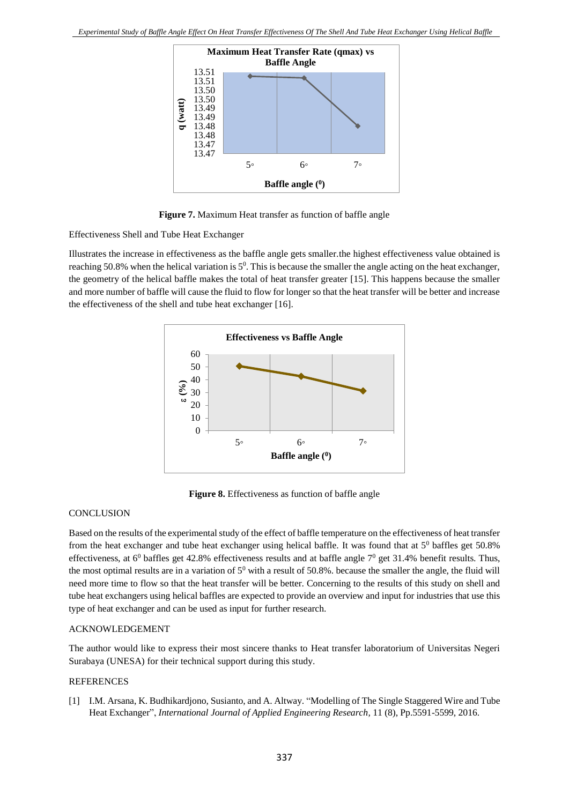

**Figure 7.** Maximum Heat transfer as function of baffle angle

Effectiveness Shell and Tube Heat Exchanger

Illustrates the increase in effectiveness as the baffle angle gets smaller.the highest effectiveness value obtained is reaching 50.8% when the helical variation is  $5^0$ . This is because the smaller the angle acting on the heat exchanger, the geometry of the helical baffle makes the total of heat transfer greater [15]. This happens because the smaller and more number of baffle will cause the fluid to flow for longer so that the heat transfer will be better and increase the effectiveness of the shell and tube heat exchanger [16].



**Figure 8.** Effectiveness as function of baffle angle

## **CONCLUSION**

Based on the results of the experimental study of the effect of baffle temperature on the effectiveness of heat transfer from the heat exchanger and tube heat exchanger using helical baffle. It was found that at  $5^0$  baffles get  $50.8\%$ effectiveness, at  $6^0$  baffles get 42.8% effectiveness results and at baffle angle  $7^0$  get 31.4% benefit results. Thus, the most optimal results are in a variation of  $5^0$  with a result of 50.8%. because the smaller the angle, the fluid will need more time to flow so that the heat transfer will be better. Concerning to the results of this study on shell and tube heat exchangers using helical baffles are expected to provide an overview and input for industries that use this type of heat exchanger and can be used as input for further research.

## ACKNOWLEDGEMENT

The author would like to express their most sincere thanks to Heat transfer laboratorium of Universitas Negeri Surabaya (UNESA) for their technical support during this study.

## REFERENCES

[1] I.M. Arsana, K. Budhikardjono, Susianto, and A. Altway. "Modelling of The Single Staggered Wire and Tube Heat Exchanger", *International Journal of Applied Engineering Research,* 11 (8), Pp.5591-5599, 2016.